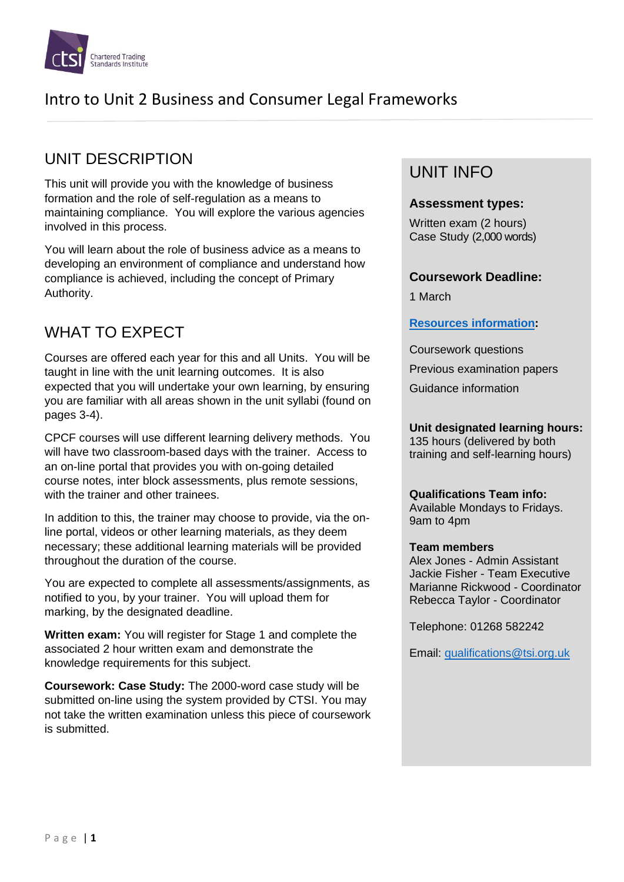

# UNIT DESCRIPTION

This unit will provide you with the knowledge of business formation and the role of self-regulation as a means to maintaining compliance. You will explore the various agencies involved in this process.

You will learn about the role of business advice as a means to developing an environment of compliance and understand how compliance is achieved, including the concept of Primary Authority.

# WHAT TO EXPECT

Courses are offered each year for this and all Units. You will be taught in line with the unit learning outcomes. It is also expected that you will undertake your own learning, by ensuring you are familiar with all areas shown in the unit syllabi (found on pages 3-4).

CPCF courses will use different learning delivery methods. You will have two classroom-based days with the trainer. Access to an on-line portal that provides you with on-going detailed course notes, inter block assessments, plus remote sessions, with the trainer and other trainees

In addition to this, the trainer may choose to provide, via the online portal, videos or other learning materials, as they deem necessary; these additional learning materials will be provided throughout the duration of the course.

You are expected to complete all assessments/assignments, as notified to you, by your trainer. You will upload them for marking, by the designated deadline.

**Written exam:** You will register for Stage 1 and complete the associated 2 hour written exam and demonstrate the knowledge requirements for this subject.

**Coursework: Case Study:** The 2000-word case study will be submitted on-line using the system provided by CTSI. You may not take the written examination unless this piece of coursework is submitted.

## UNIT INFO

#### **Assessment types:**

Written exam (2 hours) Case Study (2,000 words)

### **Coursework Deadline:**

1 March

### **[Resources information:](https://www.tradingstandards.uk/practitioners/training-development/qualifications-resources)**

Coursework questions Previous examination papers

Guidance information

### **Unit designated learning hours:**

135 hours (delivered by both training and self-learning hours)

#### **Qualifications Team info:**

Available Mondays to Fridays. 9am to 4pm

#### **Team members**

Alex Jones - Admin Assistant Jackie Fisher - Team Executive Marianne Rickwood - Coordinator Rebecca Taylor - Coordinator

Telephone: 01268 582242

Email: [qualifications@tsi.org.uk](file://///pluto/data/Education%20and%20Training/Qualifications%20&%20Education/Quals%20review%202017/Syllabi%20working%20documents/Unit%202%20Business%20and%20Legal%20Frameworks%20%20-%20OUT%20FOR%20COLLECTIVE%20MODERATION-REVIEW/qualifications@tsi.org.uk)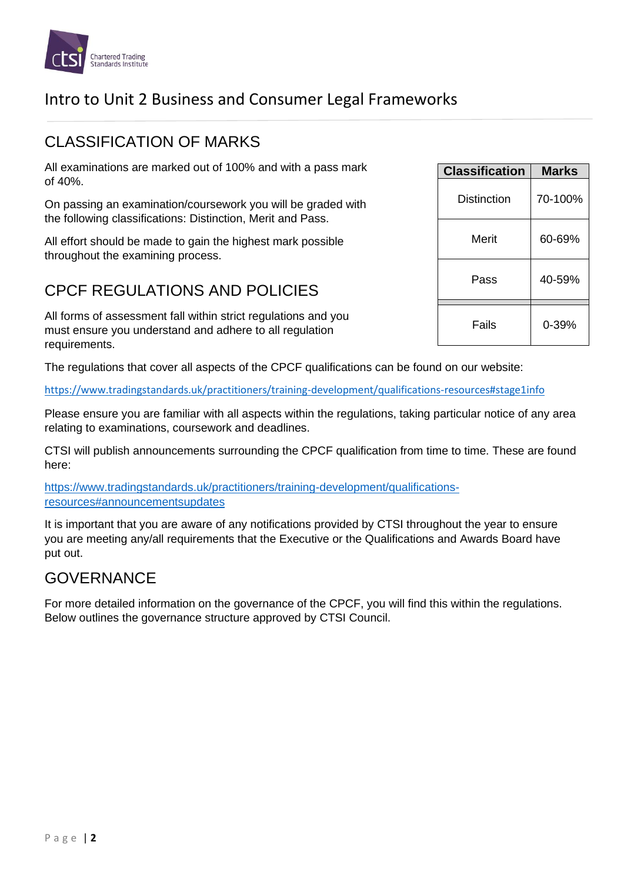

## CLASSIFICATION OF MARKS

All examinations are marked out of 100% and with a pass mark of 40%.

On passing an examination/coursework you will be graded with the following classifications: Distinction, Merit and Pass.

All effort should be made to gain the highest mark possible throughout the examining process.

## CPCF REGULATIONS AND POLICIES

All forms of assessment fall within strict regulations and you must ensure you understand and adhere to all regulation requirements.

The regulations that cover all aspects of the CPCF qualifications can be found on our website:

<https://www.tradingstandards.uk/practitioners/training-development/qualifications-resources#stage1info>

Please ensure you are familiar with all aspects within the regulations, taking particular notice of any area relating to examinations, coursework and deadlines.

CTSI will publish announcements surrounding the CPCF qualification from time to time. These are found here:

[https://www.tradingstandards.uk/practitioners/training-development/qualifications](https://www.tradingstandards.uk/practitioners/training-development/qualifications-resources#announcementsupdates)[resources#announcementsupdates](https://www.tradingstandards.uk/practitioners/training-development/qualifications-resources#announcementsupdates)

It is important that you are aware of any notifications provided by CTSI throughout the year to ensure you are meeting any/all requirements that the Executive or the Qualifications and Awards Board have put out.

## GOVERNANCE

For more detailed information on the governance of the CPCF, you will find this within the regulations. Below outlines the governance structure approved by CTSI Council.

| <b>Classification</b> | <b>Marks</b> |
|-----------------------|--------------|
| Distinction           | 70-100%      |
| Merit                 | 60-69%       |
| Pass                  | 40-59%       |
| Fails                 | 0-39%        |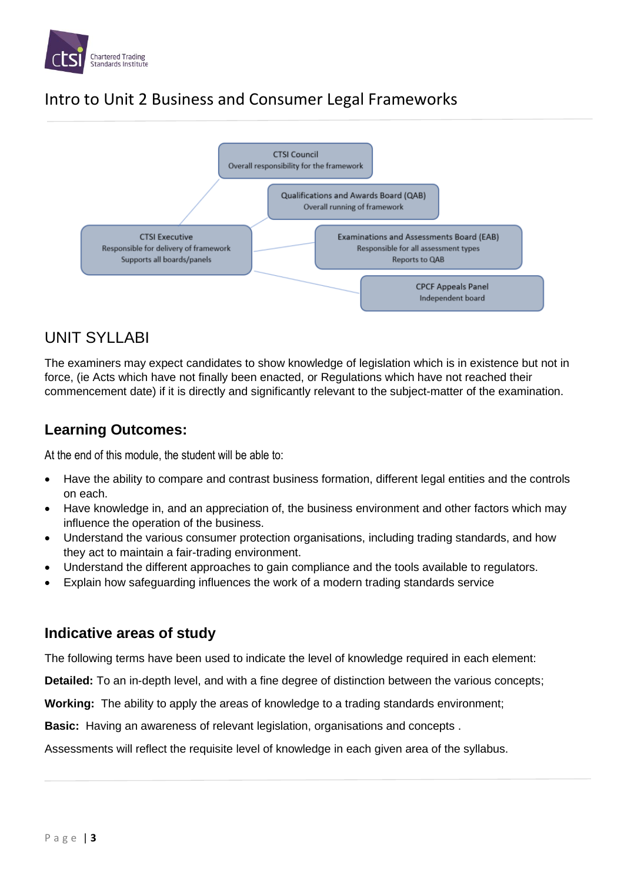



# UNIT SYLLABI

The examiners may expect candidates to show knowledge of legislation which is in existence but not in force, (ie Acts which have not finally been enacted, or Regulations which have not reached their commencement date) if it is directly and significantly relevant to the subject-matter of the examination.

## **Learning Outcomes:**

At the end of this module, the student will be able to:

- Have the ability to compare and contrast business formation, different legal entities and the controls on each.
- Have knowledge in, and an appreciation of, the business environment and other factors which may influence the operation of the business.
- Understand the various consumer protection organisations, including trading standards, and how they act to maintain a fair-trading environment.
- Understand the different approaches to gain compliance and the tools available to regulators.
- Explain how safeguarding influences the work of a modern trading standards service

## **Indicative areas of study**

The following terms have been used to indicate the level of knowledge required in each element:

**Detailed:** To an in-depth level, and with a fine degree of distinction between the various concepts;

**Working:** The ability to apply the areas of knowledge to a trading standards environment;

**Basic:** Having an awareness of relevant legislation, organisations and concepts .

Assessments will reflect the requisite level of knowledge in each given area of the syllabus.